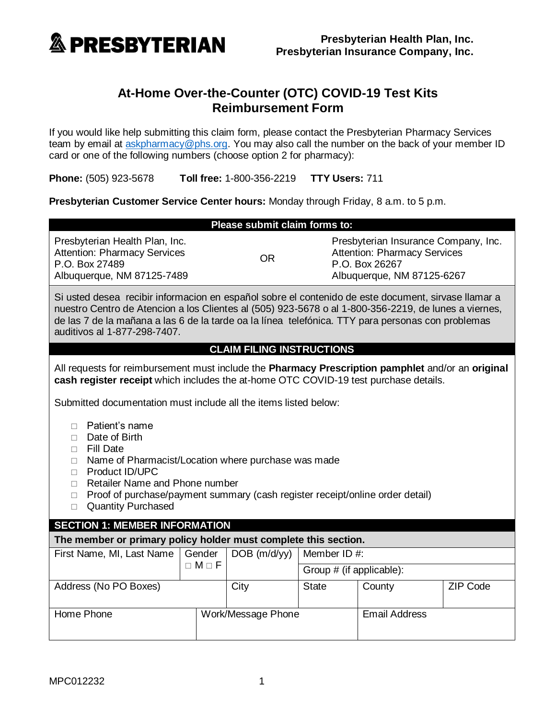

# **At-Home Over-the-Counter (OTC) COVID-19 Test Kits Reimbursement Form**

If you would like help submitting this claim form, please contact the Presbyterian Pharmacy Services team by email at [askpharmacy@phs.org.](mailto:askpharmacy@phs.org) You may also call the number on the back of your member ID card or one of the following numbers (choose option 2 for pharmacy):

**Phone:** (505) 923-5678 **Toll free:** 1-800-356-2219 **TTY Users:** 711

**Presbyterian Customer Service Center hours:** Monday through Friday, 8 a.m. to 5 p.m.

| Please submit claim forms to:                                                                                                                                                                                                                                                                                                                                |                          |                          |                                                                                                                             |                      |  |  |  |  |
|--------------------------------------------------------------------------------------------------------------------------------------------------------------------------------------------------------------------------------------------------------------------------------------------------------------------------------------------------------------|--------------------------|--------------------------|-----------------------------------------------------------------------------------------------------------------------------|----------------------|--|--|--|--|
| Presbyterian Health Plan, Inc.<br><b>Attention: Pharmacy Services</b><br>P.O. Box 27489<br>Albuquerque, NM 87125-7489                                                                                                                                                                                                                                        | <b>OR</b>                |                          | Presbyterian Insurance Company, Inc.<br><b>Attention: Pharmacy Services</b><br>P.O. Box 26267<br>Albuquerque, NM 87125-6267 |                      |  |  |  |  |
| Si usted desea recibir informacion en español sobre el contenido de este document, sirvase llamar a<br>nuestro Centro de Atencion a los Clientes al (505) 923-5678 o al 1-800-356-2219, de lunes a viernes,<br>de las 7 de la mañana a las 6 de la tarde oa la línea telefónica. TTY para personas con problemas<br>auditivos al 1-877-298-7407.             |                          |                          |                                                                                                                             |                      |  |  |  |  |
| <b>CLAIM FILING INSTRUCTIONS</b>                                                                                                                                                                                                                                                                                                                             |                          |                          |                                                                                                                             |                      |  |  |  |  |
| All requests for reimbursement must include the Pharmacy Prescription pamphlet and/or an original<br>cash register receipt which includes the at-home OTC COVID-19 test purchase details.                                                                                                                                                                    |                          |                          |                                                                                                                             |                      |  |  |  |  |
| Submitted documentation must include all the items listed below:                                                                                                                                                                                                                                                                                             |                          |                          |                                                                                                                             |                      |  |  |  |  |
| Patient's name<br>$\Box$<br>Date of Birth<br>$\Box$<br><b>Fill Date</b><br>$\Box$<br>Name of Pharmacist/Location where purchase was made<br>$\Box$<br>Product ID/UPC<br>$\Box$<br>Retailer Name and Phone number<br>$\Box$<br>Proof of purchase/payment summary (cash register receipt/online order detail)<br>$\Box$<br><b>Quantity Purchased</b><br>$\Box$ |                          |                          |                                                                                                                             |                      |  |  |  |  |
| <b>SECTION 1: MEMBER INFORMATION</b>                                                                                                                                                                                                                                                                                                                         |                          |                          |                                                                                                                             |                      |  |  |  |  |
| The member or primary policy holder must complete this section.                                                                                                                                                                                                                                                                                              |                          |                          |                                                                                                                             |                      |  |  |  |  |
| First Name, MI, Last Name                                                                                                                                                                                                                                                                                                                                    | Gender<br>$DOB$ (m/d/yy) | Member ID #:             |                                                                                                                             |                      |  |  |  |  |
|                                                                                                                                                                                                                                                                                                                                                              | $\Box M \Box F$          | Group # (if applicable): |                                                                                                                             |                      |  |  |  |  |
| Address (No PO Boxes)                                                                                                                                                                                                                                                                                                                                        | City                     | <b>State</b>             | County                                                                                                                      | <b>ZIP Code</b>      |  |  |  |  |
| Home Phone                                                                                                                                                                                                                                                                                                                                                   | Work/Message Phone       |                          |                                                                                                                             | <b>Email Address</b> |  |  |  |  |